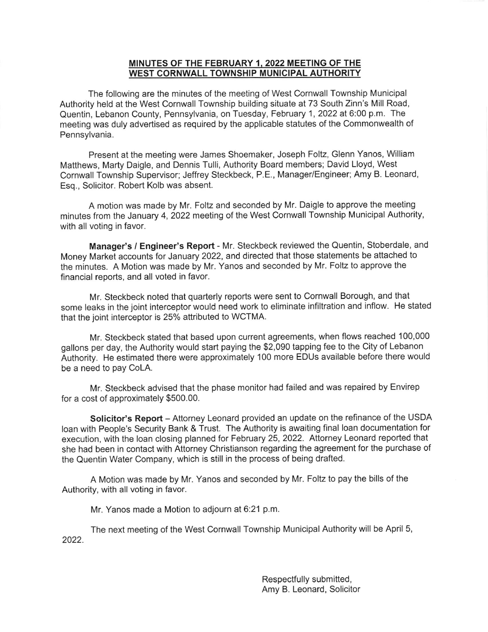## MINUTES OF THE FEBRUARY 1, 2022 MEETING OF THE WEST CORNWALL TOWNSHIP MUNICIPAL AUTHORITY

The following are the minutes of the meeting of West Cornwall Township Municipal Authority held at the West Cornwall Township building situate at 73 South Zinn's Mill Road, Quentin, Lebanon County, Pennsylvania, on Tuesday, February 1,2022a16:00 p.m. The meeting was duly advertised as required by the applicable statutes of the Commonwealth of Pennsylvania.

Present at the meeting were James Shoemaker, Joseph Foltz, Glenn Yanos, William Matthews, Marty Daigle, and Dennis Tulli, Authority Board members; David Lloyd, West Cornwall Township Supervisor; Jeffrey Steckbeck, P.E., Manager/Engineer; Amy B. Leonard, Esq., Solicitor. Robert Kolb was absent.

A motion was made by Mr. Foltz and seconded by Mr. Daigle to approve the meeting minutes from the January 4,2022 meeting of the West Cornwall Township Municipal Authority, with all voting in favor.

Manager's / Engineer's Report - Mr. Steckbeck reviewed the Quentin, Stoberdale, and Money Market accounts for January 2022, and directed that those statements be attached to the minutes. A Motion was made by Mr. Yanos and seconded by Mr. Foltz to approve the financial reports, and all voted in favor.

Mr. Steckbeck noted that quarterly reports were sent to Cornwall Borough, and that some leaks in the joint interceptor would need work to eliminate infiltration and inflow. He stated that the joint interceptor is 25% attributed to WCTMA.

Mr. Steckbeck stated that based upon current agreements, when flows reached 100,000 gallons per day, the Authority would start paying the \$2,090 tapping fee to the City of Lebanon Authority. He estimated there were approximately 100 more EDUs available before there would be a need to pay CoLA.

Mr. Steckbeck advised that the phase monitor had failed and was repaired by Envirep for a cost of approximately \$500.00.

Solicitor's Report - Attorney Leonard provided an update on the refinance of the USDA loan with People's Security Bank & Trust. The Authority is awaiting final loan documentation for execution, with the loan closing planned for February 25, 2022. Attorney Leonard reported that she had been in contact with Attorney Christianson regarding the agreement for the purchase of the Quentin Water Company, which is still in the process of being drafted.

A Motion was made by Mr. Yanos and seconded by Mr. Foltz to pay the bills of the Authority, with all voting in favor.

Mr. Yanos made a Motion to adjourn at 6:21 p.m.

The next meeting of the West Cornwall Township Municipal Authority will be April 5, 2022.

> Respectfully submitted, Amy B. Leonard, Solicitor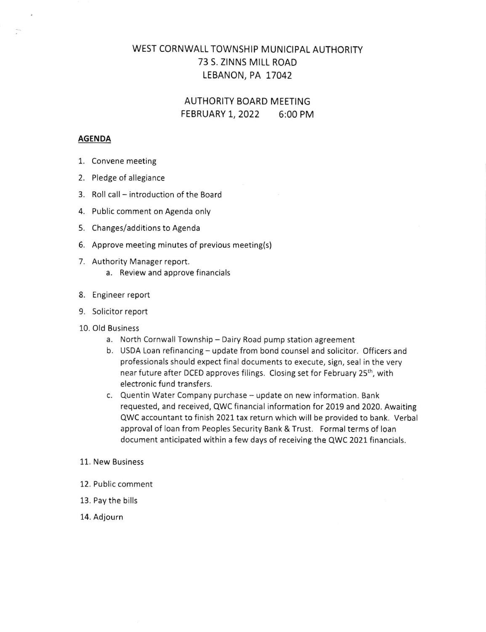## WEST CORNWALL TOWNSHIP MUNICIPAL AUTHORITY 73 S. ZINNS MILL ROAD LEBANON, PA 17042

AUTHORITY BOARD MEETING FEBRUARY 1, 2022 6:00 PM

#### AGENDA

- 1. Convene meeting
- 2. Pledge of allegiance
- 3. Roll call introduction of the Board
- 4. Public comment on Agenda only
- 5. Changes/additions to Agenda
- 6. Approve meeting minutes of previous meeting(s)
- 7. Authority Manager report.
	- a. Review and approve financials
- 8. Engineer report
- 9. Solicitor report
- 10. Old Business
	- a. North Cornwall Township Dairy Road pump station agreement
	- b. USDA Loan refinancing update from bond counsel and solicitor. Officers and professionals should expect final documents to execute, sign, seal in the very near future after DCED approves filings. Closing set for February 25th, with electronic fund transfers.
	- c. Quentin Water Company purchase update on new information. Bank requested, and received, QWC financial information for 2019 and 2020. Awaiting QWC accountant to finish 2021 tax return which will be provided to bank. Verbal approval of loan from Peoples Security Bank & Trust. Formal terms of loan document anticipated within a few days of receiving the QWC 2021 financials.

#### 11. New Business

- 12. Public comment
- 13. Pay the bills
- 14. Adjourn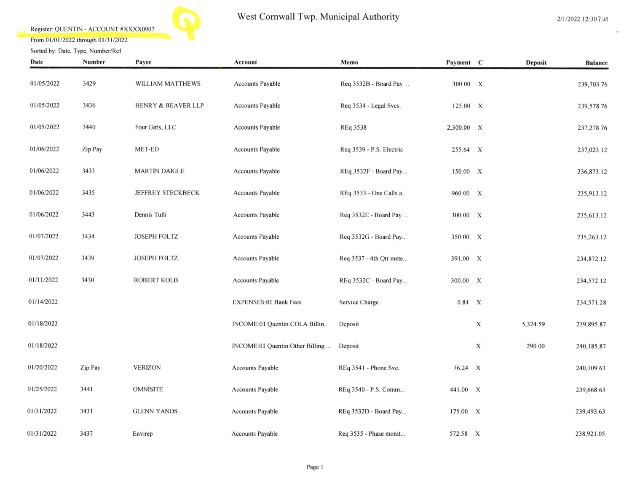## Register: QUENTIN - ACCOUNT #XXXX0907



# West Cornwall Twp. Municipal Authority

 $\omega$ 

From 01/01/2022 through 01/31/2022 Sorted by: Date, Type, Number/Ref

| Date       | Number  | Payee                         | Account                         | Memo                     | Payment C  |             | <b>Deposit</b> | <b>Balance</b> |
|------------|---------|-------------------------------|---------------------------------|--------------------------|------------|-------------|----------------|----------------|
| 01/05/2022 | 3429    | WILLIAM MATTHEWS              | <b>Accounts Payable</b>         | Req 3532B - Board Pay    | 300.00 X   |             |                | 239,703.76     |
| 01/05/2022 | 3436    | <b>HENRY &amp; BEAVER LLP</b> | <b>Accounts Payable</b>         | Req 3534 - Legal Svcs.   | 125.00 X   |             |                | 239,578.76     |
| 01/05/2022 | 3440    | Four Girls, LLC               | <b>Accounts Payable</b>         | REq 3538                 | 2,300.00 X |             |                | 237,278.76     |
| 01/06/2022 | Zip Pay | MET-ED                        | Accounts Payable                | Req 3539 - P.S. Electric | 255.64 X   |             |                | 237,023.12     |
| 01/06/2022 | 3433    | <b>MARTIN DAIGLE</b>          | <b>Accounts Payable</b>         | REq 3532F - Board Pay    | 150.00 X   |             |                | 236,873.12     |
| 01/06/2022 | 3435    | <b>JEFFREY STECKBECK</b>      | <b>Accounts Payable</b>         | REq 3533 - One Calls a   | 960.00 X   |             |                | 235,913.12     |
| 01/06/2022 | 3443    | Dennis Tulli                  | Accounts Payable                | Req 3532E - Board Pay    | 300.00 X   |             |                | 235,613.12     |
| 01/07/2022 | 3434    | JOSEPH FOLTZ                  | <b>Accounts Payable</b>         | Req 3532G - Board Pay    | 350.00 X   |             |                | 235,263.12     |
| 01/07/2022 | 3439    | <b>JOSEPH FOLTZ</b>           | <b>Accounts Payable</b>         | Req 3537 - 4th Qtr mete  | 391.00 X   |             |                | 234,872.12     |
| 01/11/2022 | 3430    | <b>ROBERT KOLB</b>            | Accounts Payable                | REq 3532C - Board Pay    | 300.00 X   |             |                | 234,572.12     |
| 01/14/2022 |         |                               | <b>EXPENSES:01 Bank Fees</b>    | Service Charge           | $0.84$ X   |             |                | 234,571.28     |
| 01/18/2022 |         |                               | INCOME:01 Quentin:COLA Billin   | Deposit                  |            | $\mathbf X$ | 5,324.59       | 239,895.87     |
| 01/18/2022 |         |                               | INCOME:01 Quentin:Other Billing | Deposit                  |            | X           | 290.00         | 240,185.87     |
| 01/20/2022 | Zip Pay | <b>VERIZON</b>                | <b>Accounts Payable</b>         | REq 3541 - Phone Svc.    | 76.24 X    |             |                | 240,109.63     |
| 01/25/2022 | 3441    | <b>OMNISITE</b>               | <b>Accounts Payable</b>         | REq 3540 - P.S. Comm     | 441.00 X   |             |                | 239,668.63     |
| 01/31/2022 | 3431    | <b>GLENN YANOS</b>            | Accounts Payable                | REq 3532D - Board Pay    | 175.00 X   |             |                | 239,493.63     |
| 01/31/2022 | 3437    | Envirep                       | <b>Accounts Payable</b>         | Req 3535 - Phase monit   | 572.58 X   |             |                | 238,921.05     |